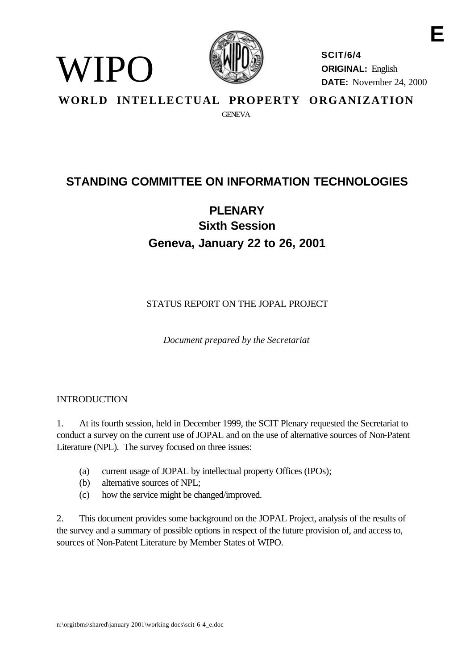

**SCIT/6/4 ORIGINAL:** English **DATE:** November 24, 2000

**E**

**WORLD INTELLECTUAL PROPERTY ORGANIZATION GENEVA** 

# **STANDING COMMITTEE ON INFORMATION TECHNOLOGIES**

# **PLENARY Sixth Session Geneva, January 22 to 26, 2001**

STATUS REPORT ON THE JOPAL PROJECT

*Document prepared by the Secretariat*

#### INTRODUCTION

WIPO

1. At its fourth session, held in December 1999, the SCIT Plenary requested the Secretariat to conduct a survey on the current use of JOPAL and on the use of alternative sources of Non-Patent Literature (NPL). The survey focused on three issues:

- (a) current usage of JOPAL by intellectual property Offices (IPOs);
- (b) alternative sources of NPL;
- (c) how the service might be changed/improved.

2. This document provides some background on the JOPAL Project, analysis of the results of the survey and a summary of possible options in respect of the future provision of, and access to, sources of Non-Patent Literature by Member States of WIPO.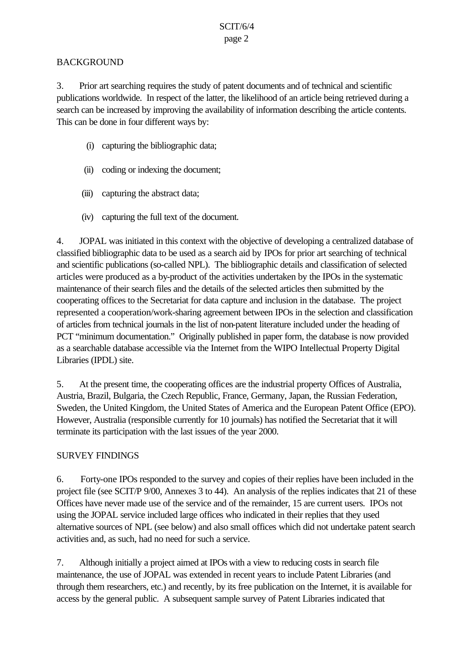#### SCIT/6/4 page 2

#### BACKGROUND

3. Prior art searching requires the study of patent documents and of technical and scientific publications worldwide. In respect of the latter, the likelihood of an article being retrieved during a search can be increased by improving the availability of information describing the article contents. This can be done in four different ways by:

- (i) capturing the bibliographic data;
- (ii) coding or indexing the document;
- (iii) capturing the abstract data;
- (iv) capturing the full text of the document.

4. JOPAL was initiated in this context with the objective of developing a centralized database of classified bibliographic data to be used as a search aid by IPOs for prior art searching of technical and scientific publications (so-called NPL). The bibliographic details and classification of selected articles were produced as a by-product of the activities undertaken by the IPOs in the systematic maintenance of their search files and the details of the selected articles then submitted by the cooperating offices to the Secretariat for data capture and inclusion in the database. The project represented a cooperation/work-sharing agreement between IPOs in the selection and classification of articles from technical journals in the list of non-patent literature included under the heading of PCT "minimum documentation." Originally published in paper form, the database is now provided as a searchable database accessible via the Internet from the WIPO Intellectual Property Digital Libraries (IPDL) site.

5. At the present time, the cooperating offices are the industrial property Offices of Australia, Austria, Brazil, Bulgaria, the Czech Republic, France, Germany, Japan, the Russian Federation, Sweden, the United Kingdom, the United States of America and the European Patent Office (EPO). However, Australia (responsible currently for 10 journals) has notified the Secretariat that it will terminate its participation with the last issues of the year 2000.

#### SURVEY FINDINGS

6. Forty-one IPOs responded to the survey and copies of their replies have been included in the project file (see SCIT/P 9/00, Annexes 3 to 44). An analysis of the replies indicates that 21 of these Offices have never made use of the service and of the remainder, 15 are current users. IPOs not using the JOPAL service included large offices who indicated in their replies that they used alternative sources of NPL (see below) and also small offices which did not undertake patent search activities and, as such, had no need for such a service.

7. Although initially a project aimed at IPOs with a view to reducing costs in search file maintenance, the use of JOPAL was extended in recent years to include Patent Libraries (and through them researchers, etc.) and recently, by its free publication on the Internet, it is available for access by the general public. A subsequent sample survey of Patent Libraries indicated that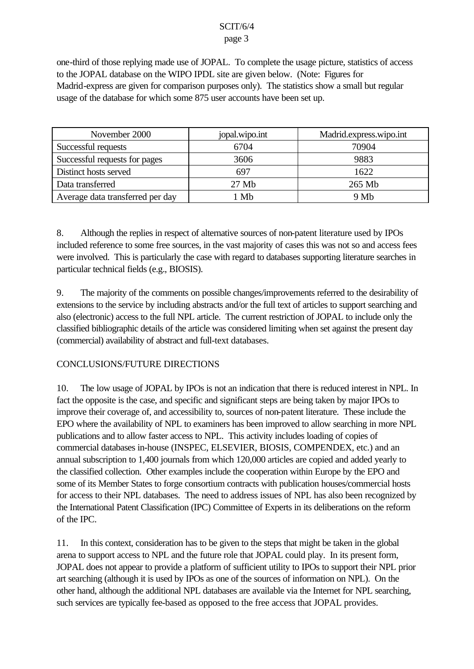#### SCIT/6/4

#### page 3

one-third of those replying made use of JOPAL. To complete the usage picture, statistics of access to the JOPAL database on the WIPO IPDL site are given below. (Note: Figures for Madrid-express are given for comparison purposes only). The statistics show a small but regular usage of the database for which some 875 user accounts have been set up.

| November 2000                    | jopal.wipo.int | Madrid.express.wipo.int |
|----------------------------------|----------------|-------------------------|
| Successful requests              | 6704           | 70904                   |
| Successful requests for pages    | 3606           | 9883                    |
| Distinct hosts served            | 697            | 1622                    |
| Data transferred                 | 27 Mb          | 265 Mb                  |
| Average data transferred per day | Mb             | 9Mb                     |

8. Although the replies in respect of alternative sources of non-patent literature used by IPOs included reference to some free sources, in the vast majority of cases this was not so and access fees were involved. This is particularly the case with regard to databases supporting literature searches in particular technical fields (e.g., BIOSIS).

9. The majority of the comments on possible changes/improvements referred to the desirability of extensions to the service by including abstracts and/or the full text of articles to support searching and also (electronic) access to the full NPL article. The current restriction of JOPAL to include only the classified bibliographic details of the article was considered limiting when set against the present day (commercial) availability of abstract and full-text databases.

## CONCLUSIONS/FUTURE DIRECTIONS

10. The low usage of JOPAL by IPOs is not an indication that there is reduced interest in NPL. In fact the opposite is the case, and specific and significant steps are being taken by major IPOs to improve their coverage of, and accessibility to, sources of non-patent literature. These include the EPO where the availability of NPL to examiners has been improved to allow searching in more NPL publications and to allow faster access to NPL. This activity includes loading of copies of commercial databases in-house (INSPEC, ELSEVIER, BIOSIS, COMPENDEX, etc.) and an annual subscription to 1,400 journals from which 120,000 articles are copied and added yearly to the classified collection. Other examples include the cooperation within Europe by the EPO and some of its Member States to forge consortium contracts with publication houses/commercial hosts for access to their NPL databases. The need to address issues of NPL has also been recognized by the International Patent Classification (IPC) Committee of Experts in its deliberations on the reform of the IPC.

11. In this context, consideration has to be given to the steps that might be taken in the global arena to support access to NPL and the future role that JOPAL could play. In its present form, JOPAL does not appear to provide a platform of sufficient utility to IPOs to support their NPL prior art searching (although it is used by IPOs as one of the sources of information on NPL). On the other hand, although the additional NPL databases are available via the Internet for NPL searching, such services are typically fee-based as opposed to the free access that JOPAL provides.